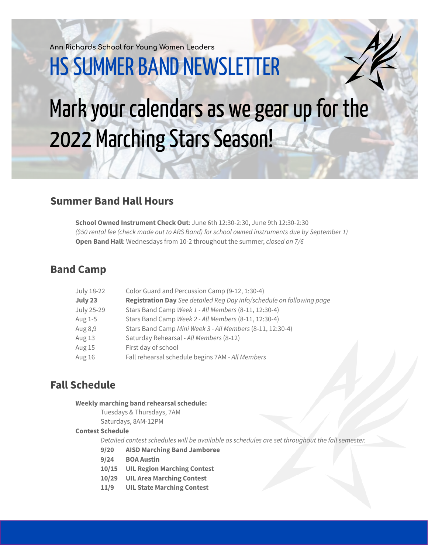**Ann Richards School for Young Women Leaders**

# **HS SUMMER BAND NEWSLETTER**

# Mark your calendars as we gear up for the 2022 Marching Stars Season!

## **Summer Band Hall Hours**

**School Owned Instrument Check Out**: June 6th 12:30-2:30, June 9th 12:30-2:30 *(\$50 rental fee (check made out to ARS Band) for school owned instruments due by September 1)* **Open Band Hall**: Wednesdays from 10-2 throughout the summer, *closed on 7/6*

## **Band Camp**

| July 18-22 | Color Guard and Percussion Camp (9-12, 1:30-4)                        |
|------------|-----------------------------------------------------------------------|
| July 23    | Registration Day See detailed Reg Day info/schedule on following page |
| July 25-29 | Stars Band Camp Week 1 - All Members (8-11, 12:30-4)                  |
| Aug 1-5    | Stars Band Camp Week 2 - All Members (8-11, 12:30-4)                  |
| Aug 8,9    | Stars Band Camp Mini Week 3 - All Members (8-11, 12:30-4)             |
| Aug 13     | Saturday Rehearsal - All Members (8-12)                               |
| Aug 15     | First day of school                                                   |
| Aug 16     | Fall rehearsal schedule begins 7AM - All Members                      |
|            |                                                                       |

## **Fall Schedule**

#### **Weekly marching band rehearsal schedule:**

Tuesdays & Thursdays, 7AM Saturdays, 8AM-12PM

### **Contest Schedule**

*Detailed contest schedules will be available as schedules are set throughout the fall semester.*

- **9/20 AISD Marching Band Jamboree**
- **9/24 BOA Austin**
- **10/15 UIL Region Marching Contest**
- **10/29 UIL Area Marching Contest**
- **11/9 UIL State Marching Contest**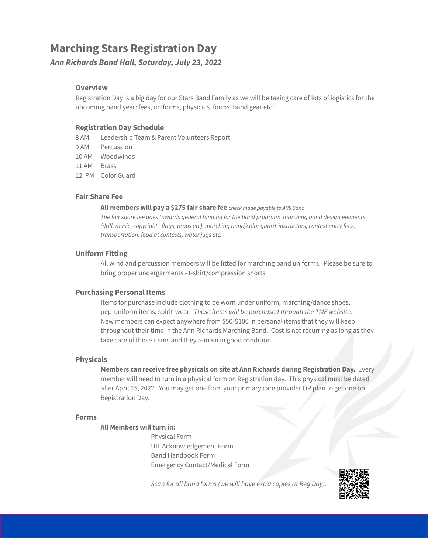# **Marching Stars Registration Day**

*Ann Richards Band Hall, Saturday, July 23, 2022*

#### **Overview**

Registration Day is a big day for our Stars Band Family as we will be taking care of lots of logistics for the upcoming band year: fees, uniforms, physicals, forms, band gear etc!

#### **Registration Day Schedule**

8 AM Leadership Team & Parent Volunteers Report

- 9 AM Percussion
- 10 AM Woodwinds
- 11 AM Brass
- 12 PM Color Guard

#### **Fair Share Fee**

#### **All members will pay a \$275 fair share fee** *check made payable to ARS Band*

*The fair share fee goes towards general funding for the band program: marching band design elements (drill, music, copyright, flags, props etc), marching band/color guard instructors, contest entry fees, transportation, food at contests, water jugs etc.*

#### **Uniform Fitting**

All wind and percussion members will be fitted for marching band uniforms. Please be sure to bring proper undergarments - t-shirt/compression shorts

#### **Purchasing Personal Items**

Items for purchase include clothing to be worn under uniform, marching/dance shoes, pep-uniform items, spirit-wear*. These items will be purchased through the TMF website.* New members can expect anywhere from \$50-\$100 in personal items that they will keep throughout their time in the Ann Richards Marching Band. Cost is not recurring as long as they take care of those items and they remain in good condition.

#### **Physicals**

**Members can receive free physicals on site at Ann Richards during Registration Day.** Every member will need to turn in a physical form on Registration day. This physical must be dated after April 15, 2022. You may get one from your primary care provider OR plan to get one on Registration Day.

#### **Forms**

#### **All Members will turn in:**

Physical Form UIL Acknowledgement Form Band Handbook Form Emergency Contact/Medical Form

*Scan for all band forms (we will have extra copies at Reg Day):*